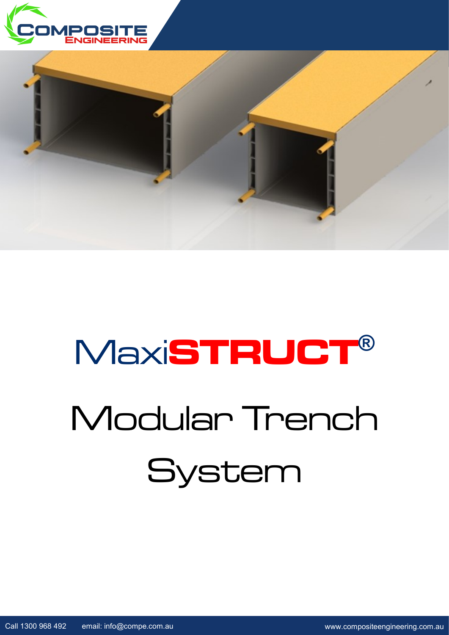



# Modular Trench System Maxi**STRUCT®**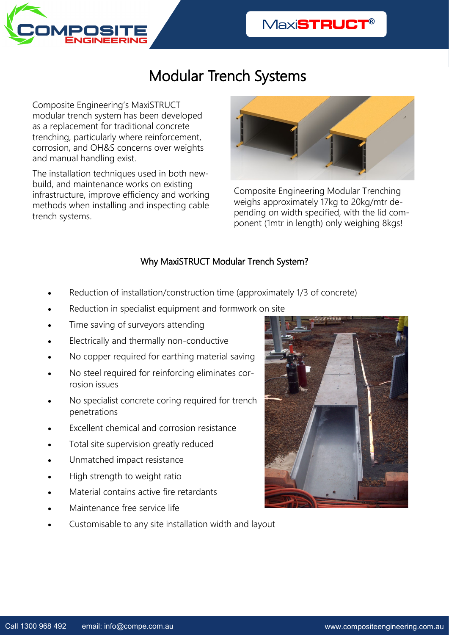

## Modular Trench Systems

Composite Engineering's MaxiSTRUCT modular trench system has been developed as a replacement for traditional concrete trenching, particularly where reinforcement, corrosion, and OH&S concerns over weights and manual handling exist.

The installation techniques used in both newbuild, and maintenance works on existing infrastructure, improve efficiency and working methods when installing and inspecting cable trench systems.



Composite Engineering Modular Trenching weighs approximately 17kg to 20kg/mtr depending on width specified, with the lid component (1mtr in length) only weighing 8kgs!

#### Why MaxiSTRUCT Modular Trench System?

- Reduction of installation/construction time (approximately 1/3 of concrete)
- Reduction in specialist equipment and formwork on site
- Time saving of surveyors attending
- Electrically and thermally non-conductive
- No copper required for earthing material saving
- No steel required for reinforcing eliminates corrosion issues
- No specialist concrete coring required for trench penetrations
- Excellent chemical and corrosion resistance
- Total site supervision greatly reduced
- Unmatched impact resistance
- High strength to weight ratio
- Material contains active fire retardants
- Maintenance free service life
- Customisable to any site installation width and layout